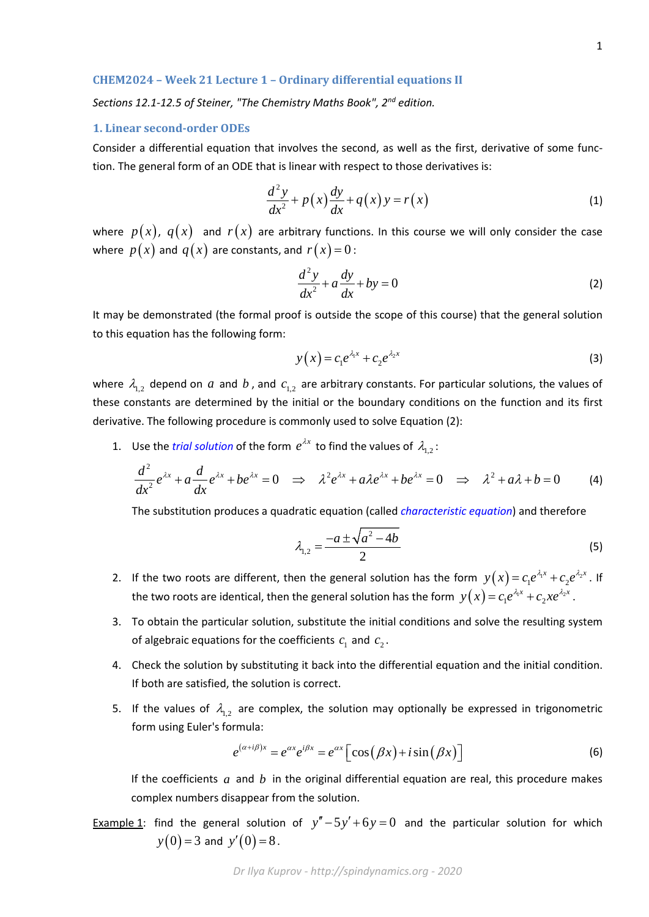## **CHEM2024 – Week 21 Lecture 1 – Ordinary differential equations II**

*Sections 12.1-12.5 of Steiner, "The Chemistry Maths Book", 2nd edition.*

### **1. Linear second-order ODEs**

Consider a differential equation that involves the second, as well as the first, derivative of some function. The general form of an ODE that is linear with respect to those derivatives is:

$$
\frac{d^2y}{dx^2} + p(x)\frac{dy}{dx} + q(x)y = r(x)
$$
\n(1)

where  $p(x)$ ,  $q(x)$  and  $r(x)$  are arbitrary functions. In this course we will only consider the case where  $p(x)$  and  $q(x)$  are constants, and  $r(x) = 0$ :

$$
\frac{d^2y}{dx^2} + a\frac{dy}{dx} + by = 0\tag{2}
$$

It may be demonstrated (the formal proof is outside the scope of this course) that the general solution to this equation has the following form:

$$
y(x) = c_1 e^{\lambda_1 x} + c_2 e^{\lambda_2 x} \tag{3}
$$

where  $\lambda_{12}$  depend on *a* and *b*, and  $c_{12}$  are arbitrary constants. For particular solutions, the values of these constants are determined by the initial or the boundary conditions on the function and its first derivative. The following procedure is commonly used to solve Equation (2):

1. Use the *trial solution* of the form  $e^{\lambda x}$  to find the values of  $\lambda_{1,2}$ :

$$
\frac{d^2}{dx^2}e^{\lambda x} + a\frac{d}{dx}e^{\lambda x} + be^{\lambda x} = 0 \implies \lambda^2 e^{\lambda x} + a\lambda e^{\lambda x} + be^{\lambda x} = 0 \implies \lambda^2 + a\lambda + b = 0
$$
 (4)

The substitution produces a quadratic equation (called *characteristic equation*) and therefore

$$
\lambda_{1,2} = \frac{-a \pm \sqrt{a^2 - 4b}}{2} \tag{5}
$$

- 2. If the two roots are different, then the general solution has the form  $y(x) = c_1 e^{\lambda_1 x} + c_2 e^{\lambda_2 x}$ . If the two roots are identical, then the general solution has the form  $y(x)$  =  $c_1e^{\lambda_1 x}$  +  $c_2xe^{\lambda_2 x}$  .
- 3. To obtain the particular solution, substitute the initial conditions and solve the resulting system of algebraic equations for the coefficients  $c_1$  and  $c_2$ .
- 4. Check the solution by substituting it back into the differential equation and the initial condition. If both are satisfied, the solution is correct.
- 5. If the values of  $\lambda_{1,2}$  are complex, the solution may optionally be expressed in trigonometric form using Euler's formula:

$$
e^{(\alpha+i\beta)x} = e^{\alpha x} e^{i\beta x} = e^{\alpha x} \Big[ \cos(\beta x) + i \sin(\beta x) \Big] \tag{6}
$$

If the coefficients *a* and *b* in the original differential equation are real, this procedure makes complex numbers disappear from the solution.

Example 1: find the general solution of  $y'' - 5y' + 6y = 0$  and the particular solution for which  $y(0) = 3$  and  $y'(0) = 8$ .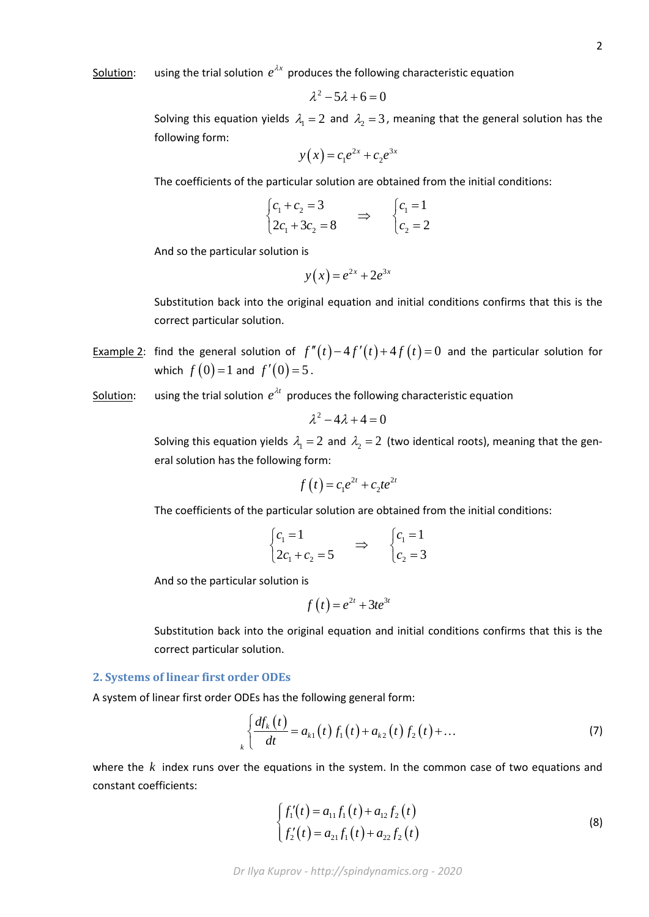# Solution: using the trial solution  $e^{\lambda x}$  produces the following characteristic equation

$$
\lambda^2 - 5\lambda + 6 = 0
$$

Solving this equation yields  $\lambda_1 = 2$  and  $\lambda_2 = 3$ , meaning that the general solution has the following form:

$$
y(x) = c_1 e^{2x} + c_2 e^{3x}
$$

The coefficients of the particular solution are obtained from the initial conditions:

$$
\begin{cases} c_1 + c_2 = 3 \\ 2c_1 + 3c_2 = 8 \end{cases} \Rightarrow \begin{cases} c_1 = 1 \\ c_2 = 2 \end{cases}
$$

And so the particular solution is

$$
y(x) = e^{2x} + 2e^{3x}
$$

Substitution back into the original equation and initial conditions confirms that this is the correct particular solution.

- Example 2: find the general solution of  $f''(t) 4f'(t) + 4f(t) = 0$  and the particular solution for which  $f(0) = 1$  and  $f'(0) = 5$ .
- Solution: using the trial solution  $e^{\lambda t}$  produces the following characteristic equation

$$
\lambda^2-4\lambda+4=0
$$

Solving this equation yields  $\lambda_1 = 2$  and  $\lambda_2 = 2$  (two identical roots), meaning that the general solution has the following form:

$$
f(t) = c_1 e^{2t} + c_2 t e^{2t}
$$

The coefficients of the particular solution are obtained from the initial conditions:

$$
\begin{cases} c_1 = 1 \\ 2c_1 + c_2 = 5 \end{cases} \Rightarrow \begin{cases} c_1 = 1 \\ c_2 = 3 \end{cases}
$$

And so the particular solution is

$$
f(t) = e^{2t} + 3te^{3t}
$$

Substitution back into the original equation and initial conditions confirms that this is the correct particular solution.

### **2. Systems of linear first order ODEs**

A system of linear first order ODEs has the following general form:

$$
\oint_{k} \frac{df_{k}(t)}{dt} = a_{k1}(t) f_{1}(t) + a_{k2}(t) f_{2}(t) + ... \tag{7}
$$

where the *k* index runs over the equations in the system. In the common case of two equations and constant coefficients:

$$
\begin{cases}\nf_1'(t) = a_{11}f_1(t) + a_{12}f_2(t) \\
f_2'(t) = a_{21}f_1(t) + a_{22}f_2(t)\n\end{cases}
$$
\n(8)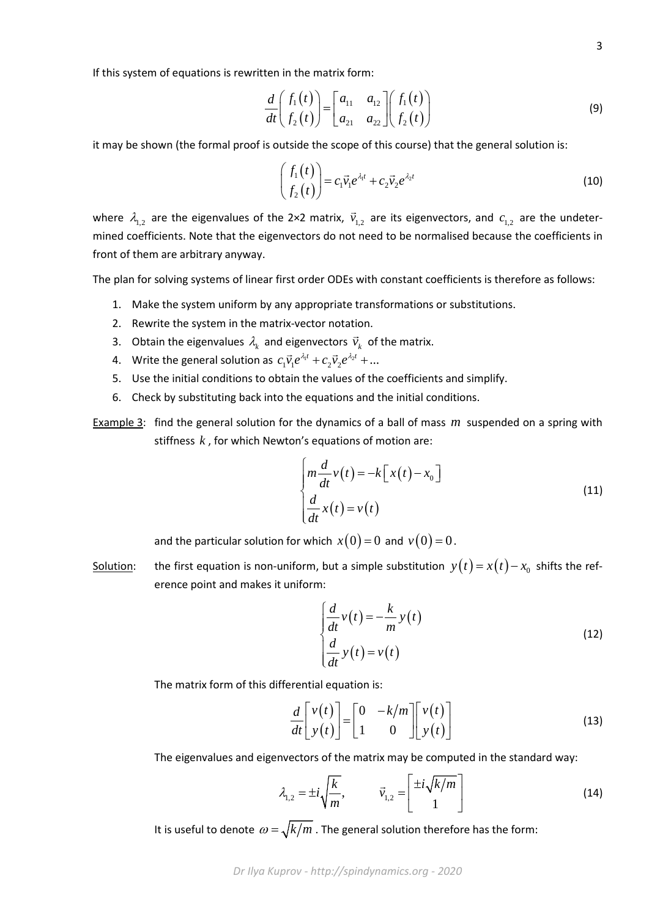If this system of equations is rewritten in the matrix form:

$$
\frac{d}{dt}\begin{pmatrix} f_1(t) \\ f_2(t) \end{pmatrix} = \begin{bmatrix} a_{11} & a_{12} \\ a_{21} & a_{22} \end{bmatrix} \begin{pmatrix} f_1(t) \\ f_2(t) \end{pmatrix}
$$
\n(9)

it may be shown (the formal proof is outside the scope of this course) that the general solution is:

$$
\begin{pmatrix} f_1(t) \\ f_2(t) \end{pmatrix} = c_1 \vec{v}_1 e^{\lambda_1 t} + c_2 \vec{v}_2 e^{\lambda_2 t} \tag{10}
$$

where  $\lambda_{1,2}$  are the eigenvalues of the 2×2 matrix,  $\vec{v}_{1,2}$  are its eigenvectors, and  $c_{1,2}$  are the undetermined coefficients. Note that the eigenvectors do not need to be normalised because the coefficients in front of them are arbitrary anyway.

The plan for solving systems of linear first order ODEs with constant coefficients is therefore as follows:

- 1. Make the system uniform by any appropriate transformations or substitutions.
- 2. Rewrite the system in the matrix-vector notation.
- 3. Obtain the eigenvalues  $\lambda_k$  and eigenvectors  $\vec{v}_k$  of the matrix.
- 4. Write the general solution as  $c_1 \vec{v}_1 e^{\lambda_1 t} + c_2 \vec{v}_2 e^{\lambda_2 t} + ...$
- 5. Use the initial conditions to obtain the values of the coefficients and simplify.
- 6. Check by substituting back into the equations and the initial conditions.
- Example 3: find the general solution for the dynamics of a ball of mass *m* suspended on a spring with stiffness *k* , for which Newton's equations of motion are:

$$
\begin{cases}\n m \frac{d}{dt} v(t) = -k \left[ x(t) - x_0 \right] \\
 \frac{d}{dt} x(t) = v(t)\n\end{cases}
$$
\n(11)

and the particular solution for which  $x(0) = 0$  and  $v(0) = 0$ .

Solution: the first equation is non-uniform, but a simple substitution  $y(t) = x(t) - x_0$  shifts the reference point and makes it uniform:

$$
\begin{cases}\n\frac{d}{dt}v(t) = -\frac{k}{m}y(t) \\
\frac{d}{dt}y(t) = v(t)\n\end{cases}
$$
\n(12)

The matrix form of this differential equation is:

$$
\frac{d}{dt} \begin{bmatrix} v(t) \\ y(t) \end{bmatrix} = \begin{bmatrix} 0 & -k/m \\ 1 & 0 \end{bmatrix} \begin{bmatrix} v(t) \\ y(t) \end{bmatrix}
$$
(13)

The eigenvalues and eigenvectors of the matrix may be computed in the standard way:

$$
\lambda_{1,2} = \pm i \sqrt{\frac{k}{m}}, \qquad \vec{v}_{1,2} = \begin{bmatrix} \pm i \sqrt{k/m} \\ 1 \end{bmatrix}
$$
 (14)

It is useful to denote  $\omega = \sqrt{k/m}$  . The general solution therefore has the form: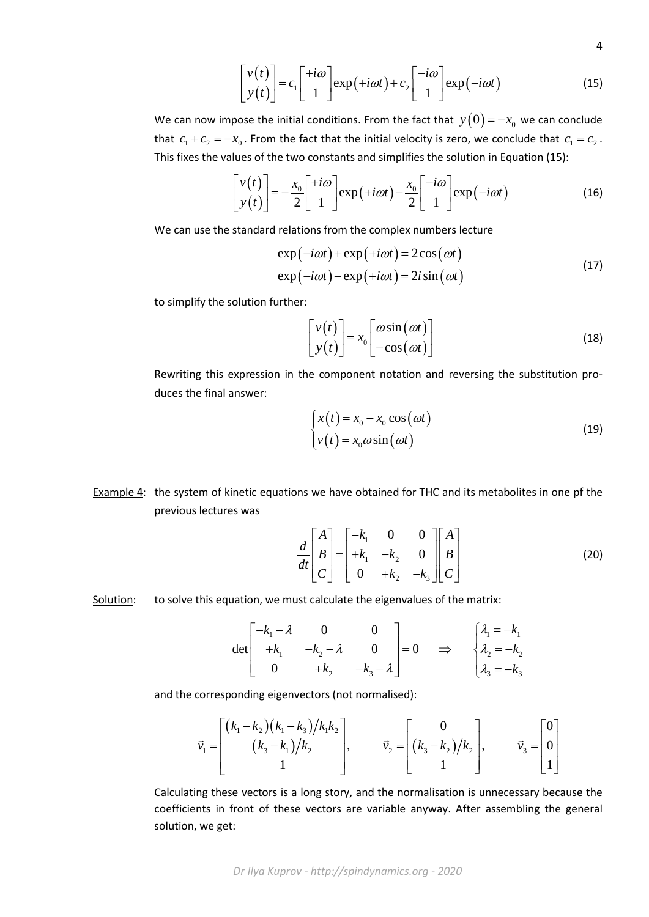$$
\begin{bmatrix} v(t) \\ y(t) \end{bmatrix} = c_1 \begin{bmatrix} +i\omega \\ 1 \end{bmatrix} \exp(+i\omega t) + c_2 \begin{bmatrix} -i\omega \\ 1 \end{bmatrix} \exp(-i\omega t) \tag{15}
$$

4

We can now impose the initial conditions. From the fact that  $y(0) = -x_0$  we can conclude that  $c_1 + c_2 = -x_0$ . From the fact that the initial velocity is zero, we conclude that  $c_1 = c_2$ . This fixes the values of the two constants and simplifies the solution in Equation (15):

$$
\begin{bmatrix} v(t) \\ y(t) \end{bmatrix} = -\frac{x_0}{2} \begin{bmatrix} +i\omega \\ 1 \end{bmatrix} \exp(+i\omega t) - \frac{x_0}{2} \begin{bmatrix} -i\omega \\ 1 \end{bmatrix} \exp(-i\omega t)
$$
 (16)

We can use the standard relations from the complex numbers lecture

$$
\exp(-i\omega t) + \exp(+i\omega t) = 2\cos(\omega t)
$$
  
\n
$$
\exp(-i\omega t) - \exp(+i\omega t) = 2i\sin(\omega t)
$$
\n(17)

to simplify the solution further:

$$
\begin{bmatrix} v(t) \\ y(t) \end{bmatrix} = x_0 \begin{bmatrix} \omega \sin(\omega t) \\ -\cos(\omega t) \end{bmatrix}
$$
 (18)

Rewriting this expression in the component notation and reversing the substitution produces the final answer:

$$
\begin{cases}\nx(t) = x_0 - x_0 \cos(\omega t) \\
v(t) = x_0 \omega \sin(\omega t)\n\end{cases}
$$
\n(19)

Example 4: the system of kinetic equations we have obtained for THC and its metabolites in one pf the previous lectures was

$$
\frac{d}{dt} \begin{bmatrix} A \\ B \\ C \end{bmatrix} = \begin{bmatrix} -k_1 & 0 & 0 \\ +k_1 & -k_2 & 0 \\ 0 & +k_2 & -k_3 \end{bmatrix} \begin{bmatrix} A \\ B \\ C \end{bmatrix} \tag{20}
$$

### Solution: to solve this equation, we must calculate the eigenvalues of the matrix:

$$
\det\begin{bmatrix} -k_1 - \lambda & 0 & 0 \\ +k_1 & -k_2 - \lambda & 0 \\ 0 & +k_2 & -k_3 - \lambda \end{bmatrix} = 0 \quad \Rightarrow \quad \begin{cases} \lambda_1 = -k_1 \\ \lambda_2 = -k_2 \\ \lambda_3 = -k_3 \end{cases}
$$

and the corresponding eigenvectors (not normalised):

$$
\vec{v}_1 = \begin{bmatrix} (k_1 - k_2)(k_1 - k_3)/k_1k_2 \\ (k_3 - k_1)/k_2 \\ 1 \end{bmatrix}, \qquad \vec{v}_2 = \begin{bmatrix} 0 \\ (k_3 - k_2)/k_2 \\ 1 \end{bmatrix}, \qquad \vec{v}_3 = \begin{bmatrix} 0 \\ 0 \\ 1 \end{bmatrix}
$$

Calculating these vectors is a long story, and the normalisation is unnecessary because the coefficients in front of these vectors are variable anyway. After assembling the general solution, we get: